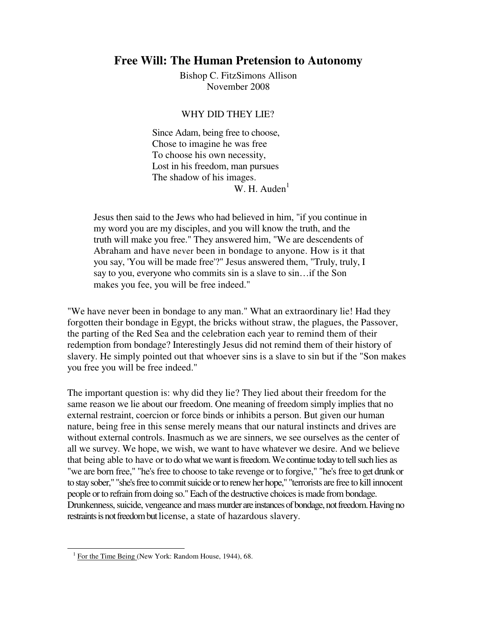## **Free Will: The Human Pretension to Autonomy**

Bishop C. FitzSimons Allison November 2008

## WHY DID THEY LIE?

Since Adam, being free to choose, Chose to imagine he was free To choose his own necessity, Lost in his freedom, man pursues The shadow of his images. W. H. Auden<sup>1</sup>

Jesus then said to the Jews who had believed in him, "if you continue in my word you are my disciples, and you will know the truth, and the truth will make you free." They answered him, "We are descendents of Abraham and have never been in bondage to anyone. How is it that you say, 'You will be made free'?" Jesus answered them, "Truly, truly, I say to you, everyone who commits sin is a slave to sin…if the Son makes you fee, you will be free indeed."

"We have never been in bondage to any man." What an extraordinary lie! Had they forgotten their bondage in Egypt, the bricks without straw, the plagues, the Passover, the parting of the Red Sea and the celebration each year to remind them of their redemption from bondage? Interestingly Jesus did not remind them of their history of slavery. He simply pointed out that whoever sins is a slave to sin but if the "Son makes you free you will be free indeed."

The important question is: why did they lie? They lied about their freedom for the same reason we lie about our freedom. One meaning of freedom simply implies that no external restraint, coercion or force binds or inhibits a person. But given our human nature, being free in this sense merely means that our natural instincts and drives are without external controls. Inasmuch as we are sinners, we see ourselves as the center of all we survey. We hope, we wish, we want to have whatever we desire. And we believe that being able to have or to do what we want is freedom. We continue today to tell such lies as "we are born free," "he's free to choose to take revenge or to forgive," "he's free to get drunk or to stay sober," "she's free to commit suicide or to renew her hope," "terrorists are free to kill innocent people or to refrain from doing so." Each of the destructive choices is made from bondage. Drunkenness, suicide, vengeance and mass murder are instances of bondage, not freedom. Having no restraints is not freedom but license, a state of hazardous slavery.

<sup>&</sup>lt;sup>1</sup> For the Time Being (New York: Random House, 1944), 68.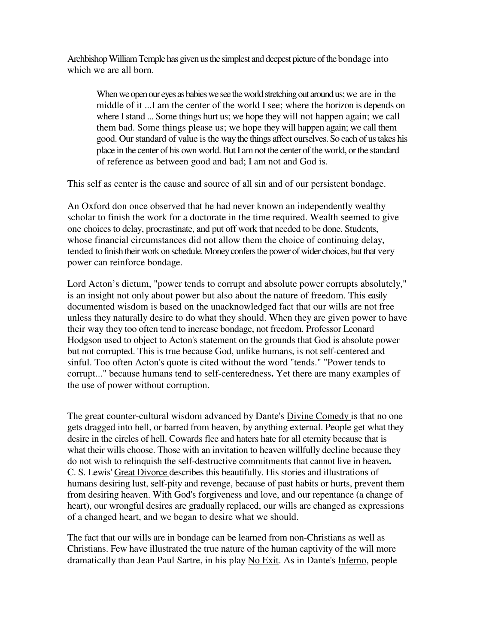Archbishop William Temple has given us the simplest and deepest picture of the bondage into which we are all born.

When we open our eyes as babies we see the world stretching out around us; we are in the middle of it ...I am the center of the world I see; where the horizon is depends on where I stand ... Some things hurt us; we hope they will not happen again; we call them bad. Some things please us; we hope they will happen again; we call them good. Our standard of value is the way the things affect ourselves. So each of us takes his place in the center of his own world. But I am not the center of the world, or the standard of reference as between good and bad; I am not and God is.

This self as center is the cause and source of all sin and of our persistent bondage.

An Oxford don once observed that he had never known an independently wealthy scholar to finish the work for a doctorate in the time required. Wealth seemed to give one choices to delay, procrastinate, and put off work that needed to be done. Students, whose financial circumstances did not allow them the choice of continuing delay, tended to finish their work on schedule. Money confers the power of wider choices, but that very power can reinforce bondage.

Lord Acton's dictum, "power tends to corrupt and absolute power corrupts absolutely," is an insight not only about power but also about the nature of freedom. This easily documented wisdom is based on the unacknowledged fact that our wills are not free unless they naturally desire to do what they should. When they are given power to have their way they too often tend to increase bondage, not freedom. Professor Leonard Hodgson used to object to Acton's statement on the grounds that God is absolute power but not corrupted. This is true because God, unlike humans, is not self-centered and sinful. Too often Acton's quote is cited without the word "tends." "Power tends to corrupt..." because humans tend to self-centeredness**.** Yet there are many examples of the use of power without corruption.

The great counter-cultural wisdom advanced by Dante's Divine Comedy is that no one gets dragged into hell, or barred from heaven, by anything external. People get what they desire in the circles of hell. Cowards flee and haters hate for all eternity because that is what their wills choose. Those with an invitation to heaven willfully decline because they do not wish to relinquish the self-destructive commitments that cannot live in heaven**.**  C. S. Lewis' Great Divorce describes this beautifully. His stories and illustrations of humans desiring lust, self-pity and revenge, because of past habits or hurts, prevent them from desiring heaven. With God's forgiveness and love, and our repentance (a change of heart), our wrongful desires are gradually replaced, our wills are changed as expressions of a changed heart, and we began to desire what we should.

The fact that our wills are in bondage can be learned from non-Christians as well as Christians. Few have illustrated the true nature of the human captivity of the will more dramatically than Jean Paul Sartre, in his play No Exit. As in Dante's Inferno, people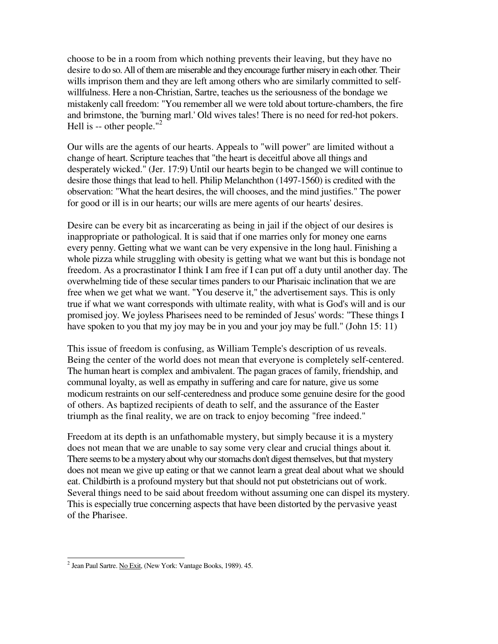choose to be in a room from which nothing prevents their leaving, but they have no desire to do so. All of them are miserable and they encourage further misery in each other*.* Their wills imprison them and they are left among others who are similarly committed to selfwillfulness. Here a non-Christian, Sartre, teaches us the seriousness of the bondage we mistakenly call freedom: "You remember all we were told about torture-chambers, the fire and brimstone, the 'burning marl.' Old wives tales! There is no need for red-hot pokers. Hell is  $-$  other people."<sup>2</sup>

Our wills are the agents of our hearts. Appeals to "will power" are limited without a change of heart. Scripture teaches that "the heart is deceitful above all things and desperately wicked." (Jer. 17:9) Until our hearts begin to be changed we will continue to desire those things that lead to hell. Philip Melanchthon (1497-1560) is credited with the observation: "What the heart desires, the will chooses, and the mind justifies." The power for good or ill is in our hearts; our wills are mere agents of our hearts' desires.

Desire can be every bit as incarcerating as being in jail if the object of our desires is inappropriate or pathological. It is said that if one marries only for money one earns every penny. Getting what we want can be very expensive in the long haul. Finishing a whole pizza while struggling with obesity is getting what we want but this is bondage not freedom. As a procrastinator I think I am free if I can put off a duty until another day. The overwhelming tide of these secular times panders to our Pharisaic inclination that we are free when we get what we want. "You deserve it," the advertisement says. This is only true if what we want corresponds with ultimate reality, with what is God's will and is our promised joy. We joyless Pharisees need to be reminded of Jesus' words: "These things I have spoken to you that my joy may be in you and your joy may be full." (John 15: 11)

This issue of freedom is confusing, as William Temple's description of us reveals. Being the center of the world does not mean that everyone is completely self-centered. The human heart is complex and ambivalent. The pagan graces of family, friendship, and communal loyalty, as well as empathy in suffering and care for nature, give us some modicum restraints on our self-centeredness and produce some genuine desire for the good of others. As baptized recipients of death to self, and the assurance of the Easter triumph as the final reality, we are on track to enjoy becoming "free indeed."

Freedom at its depth is an unfathomable mystery, but simply because it is a mystery does not mean that we are unable to say some very clear and crucial things about it. There seems to be a mystery about why our stomachs don't digest themselves, but that mystery does not mean we give up eating or that we cannot learn a great deal about what we should eat. Childbirth is a profound mystery but that should not put obstetricians out of work. Several things need to be said about freedom without assuming one can dispel its mystery. This is especially true concerning aspects that have been distorted by the pervasive yeast of the Pharisee.

<sup>&</sup>lt;sup>2</sup> Jean Paul Sartre. No Exit, (New York: Vantage Books, 1989). 45.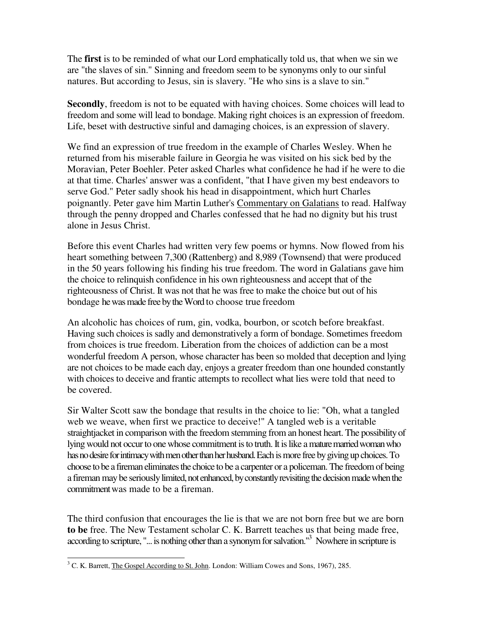The **first** is to be reminded of what our Lord emphatically told us, that when we sin we are "the slaves of sin." Sinning and freedom seem to be synonyms only to our sinful natures. But according to Jesus, sin is slavery. "He who sins is a slave to sin."

**Secondly**, freedom is not to be equated with having choices. Some choices will lead to freedom and some will lead to bondage. Making right choices is an expression of freedom. Life, beset with destructive sinful and damaging choices, is an expression of slavery.

We find an expression of true freedom in the example of Charles Wesley. When he returned from his miserable failure in Georgia he was visited on his sick bed by the Moravian, Peter Boehler. Peter asked Charles what confidence he had if he were to die at that time. Charles' answer was a confident, "that I have given my best endeavors to serve God." Peter sadly shook his head in disappointment, which hurt Charles poignantly. Peter gave him Martin Luther's Commentary on Galatians to read. Halfway through the penny dropped and Charles confessed that he had no dignity but his trust alone in Jesus Christ.

Before this event Charles had written very few poems or hymns. Now flowed from his heart something between 7,300 (Rattenberg) and 8,989 (Townsend) that were produced in the 50 years following his finding his true freedom. The word in Galatians gave him the choice to relinquish confidence in his own righteousness and accept that of the righteousness of Christ. It was not that he was free to make the choice but out of his bondage he was made free by the Word to choose true freedom

An alcoholic has choices of rum, gin, vodka, bourbon, or scotch before breakfast. Having such choices is sadly and demonstratively a form of bondage. Sometimes freedom from choices is true freedom. Liberation from the choices of addiction can be a most wonderful freedom A person, whose character has been so molded that deception and lying are not choices to be made each day, enjoys a greater freedom than one hounded constantly with choices to deceive and frantic attempts to recollect what lies were told that need to be covered.

Sir Walter Scott saw the bondage that results in the choice to lie: "Oh, what a tangled web we weave, when first we practice to deceive!" A tangled web is a veritable straightjacket in comparison with the freedom stemming from an honest heart. The possibility of lying would not occur to one whose commitment is to truth. It is like a mature married woman who has no desire for intimacy with men other than her husband. Each is more free by giving up choices. To choose to be a fireman eliminates the choice to be a carpenter or a policeman. The freedom of being a fireman may be seriously limited, not enhanced, by constantly revisiting the decision made when the commitment was made to be a fireman.

The third confusion that encourages the lie is that we are not born free but we are born **to be** free. The New Testament scholar C. K. Barrett teaches us that being made free, according to scripture, "... is nothing other than a synonym for salvation."<sup>3</sup> Nowhere in scripture is

The Constanting Corrects, The Gospel According to St. John. London: William Cowes and Sons, 1967), 285.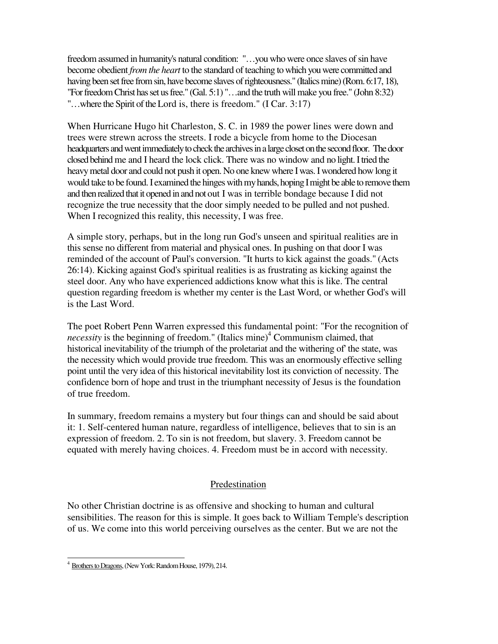freedom assumed in humanity's natural condition: "…you who were once slaves of sin have become obedient *from the heart* to the standard of teaching to which you were committed and having been set free from sin, have become slaves of righteousness." (Italics mine) (Rom. 6:17, 18), "For freedom Christ has set us free." (Gal. 5:1) "…and the truth will make you free." (John 8:32) "…where the Spirit of the Lord is, there is freedom." (I Car. 3:17)

When Hurricane Hugo hit Charleston, S. C. in 1989 the power lines were down and trees were strewn across the streets. I rode a bicycle from home to the Diocesan headquarters and went immediately to check the archives in a large closet on the second floor. The door closed behind me and I heard the lock click. There was no window and no light. I tried the heavy metal door and could not push it open. No one knew where I was. I wondered how long it would take to be found. I examined the hinges with my hands, hoping I might be able to remove them and then realized that it opened in and not out I was in terrible bondage because I did not recognize the true necessity that the door simply needed to be pulled and not pushed. When I recognized this reality, this necessity, I was free.

A simple story, perhaps, but in the long run God's unseen and spiritual realities are in this sense no different from material and physical ones. In pushing on that door I was reminded of the account of Paul's conversion. "It hurts to kick against the goads." (Acts 26:14). Kicking against God's spiritual realities is as frustrating as kicking against the steel door. Any who have experienced addictions know what this is like. The central question regarding freedom is whether my center is the Last Word, or whether God's will is the Last Word.

The poet Robert Penn Warren expressed this fundamental point: "For the recognition of necessity is the beginning of freedom." (Italics mine)<sup>4</sup> Communism claimed, that historical inevitability of the triumph of the proletariat and the withering of' the state, was the necessity which would provide true freedom. This was an enormously effective selling point until the very idea of this historical inevitability lost its conviction of necessity. The confidence born of hope and trust in the triumphant necessity of Jesus is the foundation of true freedom.

In summary, freedom remains a mystery but four things can and should be said about it: 1. Self-centered human nature, regardless of intelligence, believes that to sin is an expression of freedom. 2. To sin is not freedom, but slavery. 3. Freedom cannot be equated with merely having choices. 4. Freedom must be in accord with necessity.

## Predestination

No other Christian doctrine is as offensive and shocking to human and cultural sensibilities. The reason for this is simple. It goes back to William Temple's description of us. We come into this world perceiving ourselves as the center. But we are not the

<sup>4</sup> Brothers to Dragons, (New York: Random House, 1979), 214.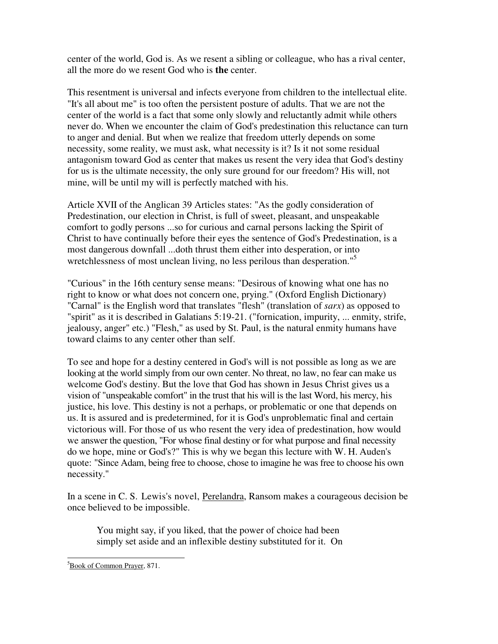center of the world, God is. As we resent a sibling or colleague, who has a rival center, all the more do we resent God who is **the** center.

This resentment is universal and infects everyone from children to the intellectual elite. "It's all about me" is too often the persistent posture of adults. That we are not the center of the world is a fact that some only slowly and reluctantly admit while others never do. When we encounter the claim of God's predestination this reluctance can turn to anger and denial. But when we realize that freedom utterly depends on some necessity, some reality, we must ask, what necessity is it? Is it not some residual antagonism toward God as center that makes us resent the very idea that God's destiny for us is the ultimate necessity, the only sure ground for our freedom? His will, not mine, will be until my will is perfectly matched with his.

Article XVII of the Anglican 39 Articles states: "As the godly consideration of Predestination, our election in Christ, is full of sweet, pleasant, and unspeakable comfort to godly persons ...so for curious and carnal persons lacking the Spirit of Christ to have continually before their eyes the sentence of God's Predestination, is a most dangerous downfall ...doth thrust them either into desperation, or into wretchlessness of most unclean living, no less perilous than desperation."<sup>5</sup>

"Curious" in the 16th century sense means: "Desirous of knowing what one has no right to know or what does not concern one, prying." (Oxford English Dictionary) "Carnal" is the English word that translates "flesh" (translation of *sarx*) as opposed to "spirit" as it is described in Galatians 5:19-21. ("fornication, impurity, ... enmity, strife, jealousy, anger" etc.) "Flesh," as used by St. Paul, is the natural enmity humans have toward claims to any center other than self.

To see and hope for a destiny centered in God's will is not possible as long as we are looking at the world simply from our own center. No threat, no law, no fear can make us welcome God's destiny. But the love that God has shown in Jesus Christ gives us a vision of "unspeakable comfort" in the trust that his will is the last Word, his mercy, his justice, his love. This destiny is not a perhaps, or problematic or one that depends on us. It is assured and is predetermined, for it is God's unproblematic final and certain victorious will. For those of us who resent the very idea of predestination, how would we answer the question, "For whose final destiny or for what purpose and final necessity do we hope, mine or God's?" This is why we began this lecture with W. H. Auden's quote: "Since Adam, being free to choose, chose to imagine he was free to choose his own necessity."

In a scene in C. S. Lewis's novel, Perelandra, Ransom makes a courageous decision be once believed to be impossible.

You might say, if you liked, that the power of choice had been simply set aside and an inflexible destiny substituted for it. On

<sup>-</sup><sup>5</sup>Book of Common Prayer, 871.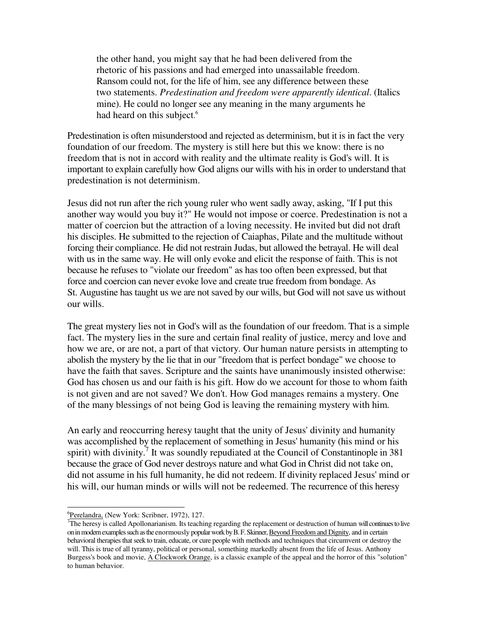the other hand, you might say that he had been delivered from the rhetoric of his passions and had emerged into unassailable freedom. Ransom could not, for the life of him, see any difference between these two statements. *Predestination and freedom were apparently identical*. (Italics mine). He could no longer see any meaning in the many arguments he had heard on this subject.<sup>6</sup>

Predestination is often misunderstood and rejected as determinism, but it is in fact the very foundation of our freedom. The mystery is still here but this we know: there is no freedom that is not in accord with reality and the ultimate reality is God's will. It is important to explain carefully how God aligns our wills with his in order to understand that predestination is not determinism.

Jesus did not run after the rich young ruler who went sadly away, asking, "If I put this another way would you buy it?" He would not impose or coerce. Predestination is not a matter of coercion but the attraction of a loving necessity. He invited but did not draft his disciples. He submitted to the rejection of Caiaphas, Pilate and the multitude without forcing their compliance. He did not restrain Judas, but allowed the betrayal. He will deal with us in the same way. He will only evoke and elicit the response of faith. This is not because he refuses to "violate our freedom" as has too often been expressed, but that force and coercion can never evoke love and create true freedom from bondage. As St. Augustine has taught us we are not saved by our wills, but God will not save us without our wills.

The great mystery lies not in God's will as the foundation of our freedom. That is a simple fact. The mystery lies in the sure and certain final reality of justice, mercy and love and how we are, or are not, a part of that victory. Our human nature persists in attempting to abolish the mystery by the lie that in our "freedom that is perfect bondage" we choose to have the faith that saves. Scripture and the saints have unanimously insisted otherwise: God has chosen us and our faith is his gift. How do we account for those to whom faith is not given and are not saved? We don't. How God manages remains a mystery. One of the many blessings of not being God is leaving the remaining mystery with him*.* 

An early and reoccurring heresy taught that the unity of Jesus' divinity and humanity was accomplished by the replacement of something in Jesus' humanity (his mind or his spirit) with divinity.<sup>7</sup> It was soundly repudiated at the Council of Constantinople in 381 because the grace of God never destroys nature and what God in Christ did not take on, did not assume in his full humanity, he did not redeem. If divinity replaced Jesus' mind or his will, our human minds or wills will not be redeemed. The recurrence of this heresy

<sup>&</sup>lt;sup>6</sup>Perelandra, (New York: Scribner, 1972), 127.

<sup>&</sup>lt;sup>7</sup>The heresy is called Apollonarianism. Its teaching regarding the replacement or destruction of human will continues to live on in modern examples such as the enormously popular work by B. F. Skinner, Beyond Freedom and Dignity, and in certain behavioral therapies that seek to train, educate, or cure people with methods and techniques that circumvent or destroy the will. This is true of all tyranny, political or personal, something markedly absent from the life of Jesus. Anthony Burgess's book and movie, <u>A Clockwork Orange</u>, is a classic example of the appeal and the horror of this "solution" to human behavior.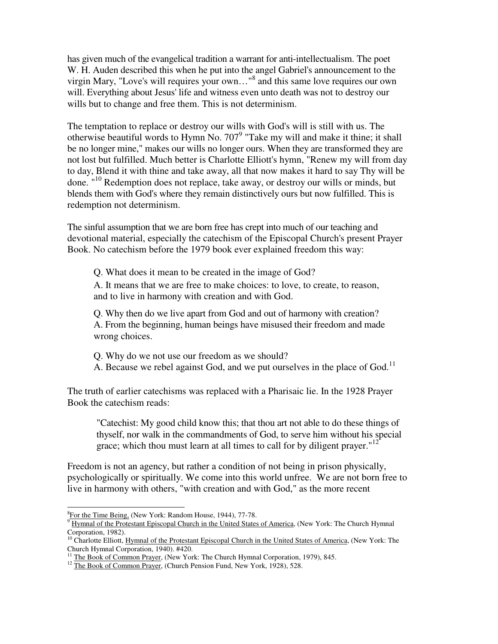has given much of the evangelical tradition a warrant for anti-intellectualism. The poet W. H. Auden described this when he put into the angel Gabriel's announcement to the virgin Mary, "Love's will requires your own..."<sup>8</sup> and this same love requires our own will. Everything about Jesus' life and witness even unto death was not to destroy our wills but to change and free them. This is not determinism.

The temptation to replace or destroy our wills with God's will is still with us. The otherwise beautiful words to Hymn No.  $707<sup>9</sup>$  "Take my will and make it thine; it shall be no longer mine," makes our wills no longer ours. When they are transformed they are not lost but fulfilled. Much better is Charlotte Elliott's hymn, "Renew my will from day to day, Blend it with thine and take away, all that now makes it hard to say Thy will be done. "<sup>10</sup> Redemption does not replace, take away, or destroy our wills or minds, but blends them with God's where they remain distinctively ours but now fulfilled. This is redemption not determinism.

The sinful assumption that we are born free has crept into much of our teaching and devotional material, especially the catechism of the Episcopal Church's present Prayer Book. No catechism before the 1979 book ever explained freedom this way:

Q. What does it mean to be created in the image of God?

A. It means that we are free to make choices: to love, to create, to reason, and to live in harmony with creation and with God.

Q. Why then do we live apart from God and out of harmony with creation? A. From the beginning, human beings have misused their freedom and made wrong choices.

Q. Why do we not use our freedom as we should?

A. Because we rebel against God, and we put ourselves in the place of God.<sup>11</sup>

The truth of earlier catechisms was replaced with a Pharisaic lie. In the 1928 Prayer Book the catechism reads:

"Catechist: My good child know this; that thou art not able to do these things of thyself, nor walk in the commandments of God, to serve him without his special grace; which thou must learn at all times to call for by diligent prayer."<sup>12</sup>

Freedom is not an agency, but rather a condition of not being in prison physically, psychologically or spiritually. We come into this world unfree. We are not born free to live in harmony with others, "with creation and with God," as the more recent

**EXECUTE:**<br>
<u><sup>8</sup>For the Time Being,</u> (New York: Random House, 1944), 77-78.<br>
<sup>9</sup> Hymnol of the Protestant Enisconal Church in the United States

Hymnal of the Protestant Episcopal Church in the United States of America, (New York: The Church Hymnal Corporation, 1982).

 $10$  Charlotte Elliott, Hymnal of the Protestant Episcopal Church in the United States of America, (New York: The Church Hymnal Corporation, 1940). #420.

<sup>&</sup>lt;sup>11</sup> The Book of Common Prayer, (New York: The Church Hymnal Corporation, 1979), 845.

<sup>&</sup>lt;sup>12</sup> The Book of Common Prayer, (Church Pension Fund, New York, 1928), 528.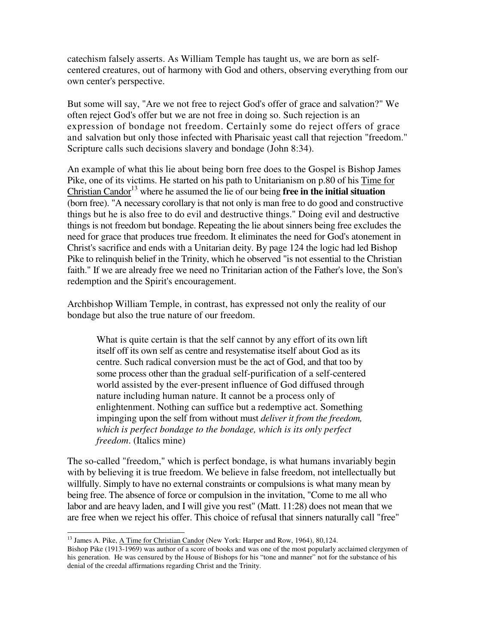catechism falsely asserts. As William Temple has taught us, we are born as selfcentered creatures, out of harmony with God and others, observing everything from our own center's perspective.

But some will say, "Are we not free to reject God's offer of grace and salvation?" We often reject God's offer but we are not free in doing so. Such rejection is an expression of bondage not freedom. Certainly some do reject offers of grace and salvation but only those infected with Pharisaic yeast call that rejection "freedom." Scripture calls such decisions slavery and bondage (John 8:34).

An example of what this lie about being born free does to the Gospel is Bishop James Pike, one of its victims. He started on his path to Unitarianism on p.80 of his Time for Christian Candor<sup>13</sup> where he assumed the lie of our being **free in the initial situation** (born free). "A necessary corollary is that not only is man free to do good and constructive things but he is also free to do evil and destructive things." Doing evil and destructive things is not freedom but bondage. Repeating the lie about sinners being free excludes the need for grace that produces true freedom. It eliminates the need for God's atonement in Christ's sacrifice and ends with a Unitarian deity. By page 124 the logic had led Bishop Pike to relinquish belief in the Trinity, which he observed "is not essential to the Christian faith." If we are already free we need no Trinitarian action of the Father's love, the Son's redemption and the Spirit's encouragement.

Archbishop William Temple, in contrast, has expressed not only the reality of our bondage but also the true nature of our freedom.

What is quite certain is that the self cannot by any effort of its own lift itself off its own self as centre and resystematise itself about God as its centre. Such radical conversion must be the act of God, and that too by some process other than the gradual self-purification of a self-centered world assisted by the ever-present influence of God diffused through nature including human nature. It cannot be a process only of enlightenment. Nothing can suffice but a redemptive act. Something impinging upon the self from without must *deliver it from the freedom, which is perfect bondage to the bondage, which is its only perfect freedom*. (Italics mine)

The so-called "freedom," which is perfect bondage, is what humans invariably begin with by believing it is true freedom. We believe in false freedom, not intellectually but willfully. Simply to have no external constraints or compulsions is what many mean by being free. The absence of force or compulsion in the invitation, "Come to me all who labor and are heavy laden, and I will give you rest" (Matt. 11:28) does not mean that we are free when we reject his offer. This choice of refusal that sinners naturally call "free"

<sup>-</sup><sup>13</sup> James A. Pike, <u>A Time for Christian Candor</u> (New York: Harper and Row, 1964), 80,124.

Bishop Pike (1913-1969) was author of a score of books and was one of the most popularly acclaimed clergymen of his generation. He was censured by the House of Bishops for his "tone and manner" not for the substance of his denial of the creedal affirmations regarding Christ and the Trinity.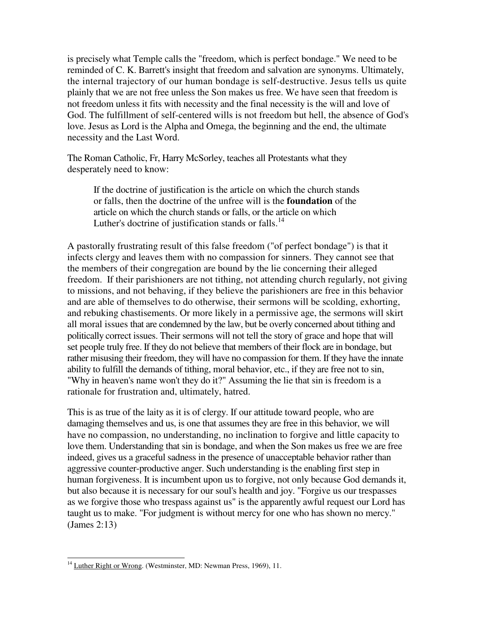is precisely what Temple calls the "freedom, which is perfect bondage." We need to be reminded of C. K. Barrett's insight that freedom and salvation are synonyms. Ultimately, the internal trajectory of our human bondage is self-destructive. Jesus tells us quite plainly that we are not free unless the Son makes us free. We have seen that freedom is not freedom unless it fits with necessity and the final necessity is the will and love of God. The fulfillment of self-centered wills is not freedom but hell, the absence of God's love. Jesus as Lord is the Alpha and Omega, the beginning and the end, the ultimate necessity and the Last Word.

The Roman Catholic, Fr, Harry McSorley, teaches all Protestants what they desperately need to know:

If the doctrine of justification is the article on which the church stands or falls, then the doctrine of the unfree will is the **foundation** of the article on which the church stands or falls, or the article on which Luther's doctrine of justification stands or falls.<sup>14</sup>

A pastorally frustrating result of this false freedom ("of perfect bondage") is that it infects clergy and leaves them with no compassion for sinners. They cannot see that the members of their congregation are bound by the lie concerning their alleged freedom. If their parishioners are not tithing, not attending church regularly, not giving to missions, and not behaving, if they believe the parishioners are free in this behavior and are able of themselves to do otherwise, their sermons will be scolding, exhorting, and rebuking chastisements. Or more likely in a permissive age, the sermons will skirt all moral issues that are condemned by the law, but be overly concerned about tithing and politically correct issues. Their sermons will not tell the story of grace and hope that will set people truly free. If they do not believe that members of their flock are in bondage, but rather misusing their freedom, they will have no compassion for them. If they have the innate ability to fulfill the demands of tithing, moral behavior, etc., if they are free not to sin, "Why in heaven's name won't they do it?" Assuming the lie that sin is freedom is a rationale for frustration and, ultimately, hatred.

This is as true of the laity as it is of clergy. If our attitude toward people, who are damaging themselves and us, is one that assumes they are free in this behavior, we will have no compassion, no understanding, no inclination to forgive and little capacity to love them. Understanding that sin is bondage, and when the Son makes us free we are free indeed, gives us a graceful sadness in the presence of unacceptable behavior rather than aggressive counter-productive anger. Such understanding is the enabling first step in human forgiveness. It is incumbent upon us to forgive, not only because God demands it, but also because it is necessary for our soul's health and joy. "Forgive us our trespasses as we forgive those who trespass against us" is the apparently awful request our Lord has taught us to make. "For judgment is without mercy for one who has shown no mercy." (James 2:13)

<sup>&</sup>lt;sup>14</sup> Luther Right or Wrong. (Westminster, MD: Newman Press, 1969), 11.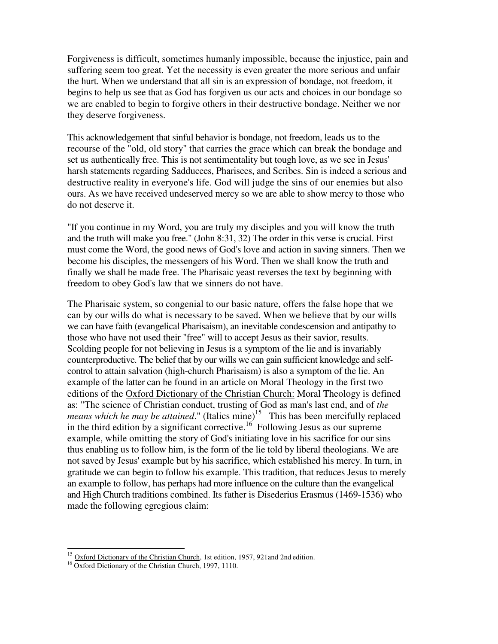Forgiveness is difficult, sometimes humanly impossible, because the injustice, pain and suffering seem too great. Yet the necessity is even greater the more serious and unfair the hurt. When we understand that all sin is an expression of bondage, not freedom, it begins to help us see that as God has forgiven us our acts and choices in our bondage so we are enabled to begin to forgive others in their destructive bondage. Neither we nor they deserve forgiveness.

This acknowledgement that sinful behavior is bondage, not freedom, leads us to the recourse of the "old, old story" that carries the grace which can break the bondage and set us authentically free. This is not sentimentality but tough love, as we see in Jesus' harsh statements regarding Sadducees, Pharisees, and Scribes. Sin is indeed a serious and destructive reality in everyone's life. God will judge the sins of our enemies but also ours. As we have received undeserved mercy so we are able to show mercy to those who do not deserve it.

"If you continue in my Word, you are truly my disciples and you will know the truth and the truth will make you free." (John 8:31, 32) The order in this verse is crucial. First must come the Word, the good news of God's love and action in saving sinners. Then we become his disciples, the messengers of his Word. Then we shall know the truth and finally we shall be made free. The Pharisaic yeast reverses the text by beginning with freedom to obey God's law that we sinners do not have.

The Pharisaic system, so congenial to our basic nature, offers the false hope that we can by our wills do what is necessary to be saved. When we believe that by our wills we can have faith (evangelical Pharisaism), an inevitable condescension and antipathy to those who have not used their "free" will to accept Jesus as their savior, results. Scolding people for not believing in Jesus is a symptom of the lie and is invariably counterproductive. The belief that by our wills we can gain sufficient knowledge and selfcontrol to attain salvation (high-church Pharisaism) is also a symptom of the lie. An example of the latter can be found in an article on Moral Theology in the first two editions of the Oxford Dictionary of the Christian Church: Moral Theology is defined as: "The science of Christian conduct, trusting of God as man's last end, and of *the means which he may be attained*." (Italics mine)<sup>15</sup> This has been mercifully replaced in the third edition by a significant corrective.<sup>16</sup> Following Jesus as our supreme example, while omitting the story of God's initiating love in his sacrifice for our sins thus enabling us to follow him, is the form of the lie told by liberal theologians. We are not saved by Jesus' example but by his sacrifice, which established his mercy. In turn, in gratitude we can begin to follow his example. This tradition, that reduces Jesus to merely an example to follow, has perhaps had more influence on the culture than the evangelical and High Church traditions combined. Its father is Disederius Erasmus (1469-1536) who made the following egregious claim:

Oxford Dictionary of the Christian Church, 1st edition, 1957, 921and 2nd edition.

<sup>&</sup>lt;sup>16</sup> Oxford Dictionary of the Christian Church, 1997, 1110.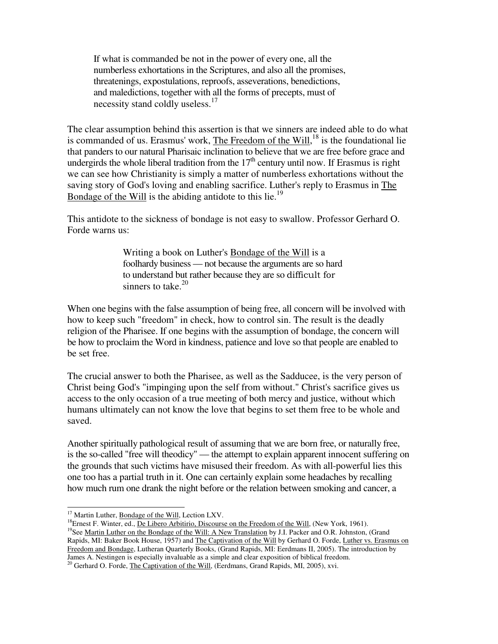If what is commanded be not in the power of every one, all the numberless exhortations in the Scriptures, and also all the promises, threatenings, expostulations, reproofs, asseverations, benedictions, and maledictions, together with all the forms of precepts, must of necessity stand coldly useless.<sup>17</sup>

The clear assumption behind this assertion is that we sinners are indeed able to do what is commanded of us. Erasmus' work, The Freedom of the Will,<sup>18</sup> is the foundational lie that panders to our natural Pharisaic inclination to believe that we are free before grace and undergirds the whole liberal tradition from the  $17<sup>th</sup>$  century until now. If Erasmus is right we can see how Christianity is simply a matter of numberless exhortations without the saving story of God's loving and enabling sacrifice. Luther's reply to Erasmus in The Bondage of the Will is the abiding antidote to this lie.<sup>19</sup>

This antidote to the sickness of bondage is not easy to swallow. Professor Gerhard O. Forde warns us:

> Writing a book on Luther's Bondage of the Will is a foolhardy business — not because the arguments are so hard to understand but rather because they are so difficult for sinners to take. $20$

When one begins with the false assumption of being free, all concern will be involved with how to keep such "freedom" in check, how to control sin. The result is the deadly religion of the Pharisee. If one begins with the assumption of bondage, the concern will be how to proclaim the Word in kindness, patience and love so that people are enabled to be set free.

The crucial answer to both the Pharisee, as well as the Sadducee, is the very person of Christ being God's "impinging upon the self from without." Christ's sacrifice gives us access to the only occasion of a true meeting of both mercy and justice, without which humans ultimately can not know the love that begins to set them free to be whole and saved.

Another spiritually pathological result of assuming that we are born free, or naturally free, is the so-called "free will theodicy" — the attempt to explain apparent innocent suffering on the grounds that such victims have misused their freedom. As with all-powerful lies this one too has a partial truth in it. One can certainly explain some headaches by recalling how much rum one drank the night before or the relation between smoking and cancer, a

<sup>&</sup>lt;sup>17</sup> Martin Luther, Bondage of the Will, Lection LXV.

<sup>&</sup>lt;sup>18</sup>Ernest F. Winter, ed., De Libero Arbitirio, Discourse on the Freedom of the Will, (New York, 1961). <sup>19</sup>See Martin Luther on the Bondage of the Will: A New Translation by J.I. Packer and O.R. Johnston, (Grand Rapids, MI: Baker Book House, 1957) and The Captivation of the Will by Gerhard O. Forde, Luther vs. Erasmus on Freedom and Bondage, Lutheran Quarterly Books, (Grand Rapids, MI: Eerdmans II, 2005). The introduction by James A. Nestingen is especially invaluable as a simple and clear exposition of biblical freedom.

<sup>&</sup>lt;sup>20</sup> Gerhard O. Forde, *The Captivation of the Will*, (Eerdmans, Grand Rapids, MI, 2005), xvi.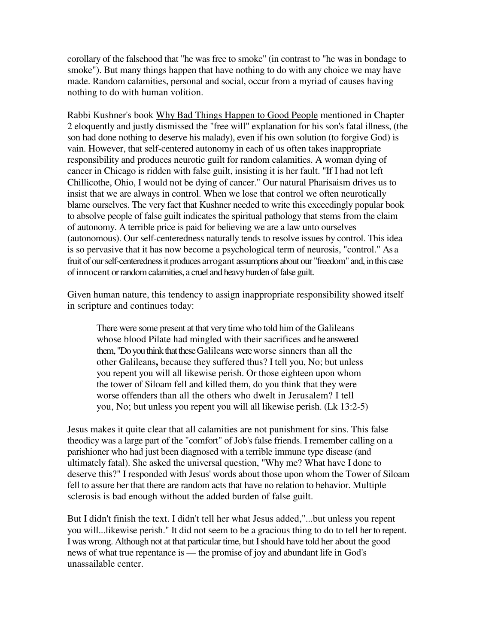corollary of the falsehood that "he was free to smoke" (in contrast to "he was in bondage to smoke"). But many things happen that have nothing to do with any choice we may have made. Random calamities, personal and social, occur from a myriad of causes having nothing to do with human volition.

Rabbi Kushner's book Why Bad Things Happen to Good People mentioned in Chapter 2 eloquently and justly dismissed the "free will" explanation for his son's fatal illness, (the son had done nothing to deserve his malady), even if his own solution (to forgive God) is vain. However, that self-centered autonomy in each of us often takes inappropriate responsibility and produces neurotic guilt for random calamities. A woman dying of cancer in Chicago is ridden with false guilt, insisting it is her fault. "If I had not left Chillicothe, Ohio, I would not be dying of cancer." Our natural Pharisaism drives us to insist that we are always in control. When we lose that control we often neurotically blame ourselves. The very fact that Kushner needed to write this exceedingly popular book to absolve people of false guilt indicates the spiritual pathology that stems from the claim of autonomy. A terrible price is paid for believing we are a law unto ourselves (autonomous). Our self-centeredness naturally tends to resolve issues by control. This idea is so pervasive that it has now become a psychological term of neurosis, "control." As a fruit of our self-centeredness it produces arrogant assumptions about our "freedom" and, in this case of innocent or random calamities, a cruel and heavy burden of false guilt.

Given human nature, this tendency to assign inappropriate responsibility showed itself in scripture and continues today:

There were some present at that very time who told him of the Galileans whose blood Pilate had mingled with their sacrifices and he answered them, "Do you think that these Galileans were worse sinners than all the other Galileans**,** because they suffered thus? I tell you, No; but unless you repent you will all likewise perish. Or those eighteen upon whom the tower of Siloam fell and killed them, do you think that they were worse offenders than all the others who dwelt in Jerusalem? I tell you, No; but unless you repent you will all likewise perish. (Lk 13:2-5)

Jesus makes it quite clear that all calamities are not punishment for sins. This false theodicy was a large part of the "comfort" of Job's false friends. I remember calling on a parishioner who had just been diagnosed with a terrible immune type disease (and ultimately fatal). She asked the universal question, "Why me? What have I done to deserve this?" I responded with Jesus' words about those upon whom the Tower of Siloam fell to assure her that there are random acts that have no relation to behavior. Multiple sclerosis is bad enough without the added burden of false guilt.

But I didn't finish the text. I didn't tell her what Jesus added,"...but unless you repent you will...likewise perish." It did not seem to be a gracious thing to do to tell her to repent. I was wrong. Although not at that particular time, but I should have told her about the good news of what true repentance is — the promise of joy and abundant life in God's unassailable center.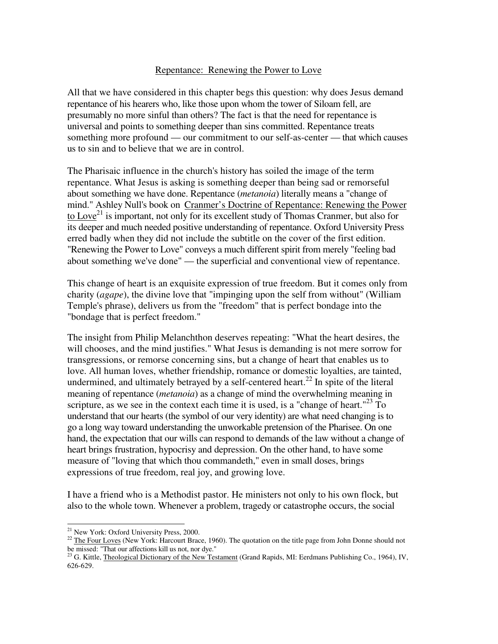## Repentance: Renewing the Power to Love

All that we have considered in this chapter begs this question: why does Jesus demand repentance of his hearers who, like those upon whom the tower of Siloam fell, are presumably no more sinful than others? The fact is that the need for repentance is universal and points to something deeper than sins committed. Repentance treats something more profound — our commitment to our self-as-center — that which causes us to sin and to believe that we are in control.

The Pharisaic influence in the church's history has soiled the image of the term repentance. What Jesus is asking is something deeper than being sad or remorseful about something we have done. Repentance (*metanoia*) literally means a "change of mind." Ashley Null's book on Cranmer's Doctrine of Repentance: Renewing the Power to Love<sup>21</sup> is important, not only for its excellent study of Thomas Cranmer, but also for its deeper and much needed positive understanding of repentance. Oxford University Press erred badly when they did not include the subtitle on the cover of the first edition. "Renewing the Power to Love" conveys a much different spirit from merely "feeling bad about something we've done" — the superficial and conventional view of repentance.

This change of heart is an exquisite expression of true freedom. But it comes only from charity (*agape*), the divine love that "impinging upon the self from without" (William Temple's phrase), delivers us from the "freedom" that is perfect bondage into the "bondage that is perfect freedom."

The insight from Philip Melanchthon deserves repeating: "What the heart desires, the will chooses, and the mind justifies." What Jesus is demanding is not mere sorrow for transgressions, or remorse concerning sins, but a change of heart that enables us to love. All human loves, whether friendship, romance or domestic loyalties, are tainted, undermined, and ultimately betrayed by a self-centered heart.<sup>22</sup> In spite of the literal meaning of repentance (*metanoia*) as a change of mind the overwhelming meaning in scripture, as we see in the context each time it is used, is a "change of heart."<sup>23</sup> To understand that our hearts (the symbol of our very identity) are what need changing is to go a long way toward understanding the unworkable pretension of the Pharisee. On one hand, the expectation that our wills can respond to demands of the law without a change of heart brings frustration, hypocrisy and depression. On the other hand, to have some measure of "loving that which thou commandeth," even in small doses, brings expressions of true freedom, real joy, and growing love.

I have a friend who is a Methodist pastor. He ministers not only to his own flock, but also to the whole town. Whenever a problem, tragedy or catastrophe occurs, the social

<sup>-</sup><sup>21</sup> New York: Oxford University Press, 2000.

 $22$  The Four Loves (New York: Harcourt Brace, 1960). The quotation on the title page from John Donne should not be missed: "That our affections kill us not, nor dye."

<sup>&</sup>lt;sup>23</sup> G. Kittle, Theological Dictionary of the New Testament (Grand Rapids, MI: Eerdmans Publishing Co., 1964), IV, 626-629.